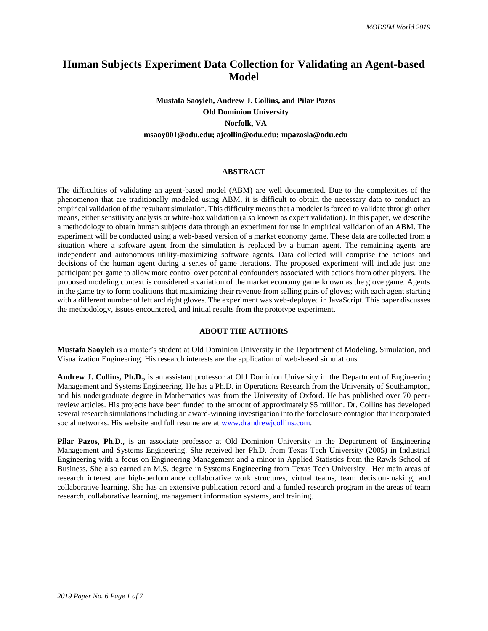# **Human Subjects Experiment Data Collection for Validating an Agent-based Model**

# **Mustafa Saoyleh, Andrew J. Collins, and Pilar Pazos Old Dominion University Norfolk, VA msaoy001@odu.edu; ajcollin@odu.edu; mpazosla@odu.edu**

#### **ABSTRACT**

The difficulties of validating an agent-based model (ABM) are well documented. Due to the complexities of the phenomenon that are traditionally modeled using ABM, it is difficult to obtain the necessary data to conduct an empirical validation of the resultant simulation. This difficulty means that a modeler is forced to validate through other means, either sensitivity analysis or white-box validation (also known as expert validation). In this paper, we describe a methodology to obtain human subjects data through an experiment for use in empirical validation of an ABM. The experiment will be conducted using a web-based version of a market economy game. These data are collected from a situation where a software agent from the simulation is replaced by a human agent. The remaining agents are independent and autonomous utility-maximizing software agents. Data collected will comprise the actions and decisions of the human agent during a series of game iterations. The proposed experiment will include just one participant per game to allow more control over potential confounders associated with actions from other players. The proposed modeling context is considered a variation of the market economy game known as the glove game. Agents in the game try to form coalitions that maximizing their revenue from selling pairs of gloves; with each agent starting with a different number of left and right gloves. The experiment was web-deployed in JavaScript. This paper discusses the methodology, issues encountered, and initial results from the prototype experiment.

## **ABOUT THE AUTHORS**

**Mustafa Saoyleh** is a master's student at Old Dominion University in the Department of Modeling, Simulation, and Visualization Engineering. His research interests are the application of web-based simulations.

**Andrew J. Collins, Ph.D.,** is an assistant professor at Old Dominion University in the Department of Engineering Management and Systems Engineering. He has a Ph.D. in Operations Research from the University of Southampton, and his undergraduate degree in Mathematics was from the University of Oxford. He has published over 70 peerreview articles. His projects have been funded to the amount of approximately \$5 million. Dr. Collins has developed several research simulations including an award-winning investigation into the foreclosure contagion that incorporated social networks. His website and full resume are at [www.drandrewjcollins.com.](http://www.drandrewjcollins.com/)

**Pilar Pazos, Ph.D.,** is an associate professor at Old Dominion University in the Department of Engineering Management and Systems Engineering. She received her Ph.D. from Texas Tech University (2005) in Industrial Engineering with a focus on Engineering Management and a minor in Applied Statistics from the Rawls School of Business. She also earned an M.S. degree in Systems Engineering from Texas Tech University. Her main areas of research interest are high-performance collaborative work structures, virtual teams, team decision-making, and collaborative learning. She has an extensive publication record and a funded research program in the areas of team research, collaborative learning, management information systems, and training.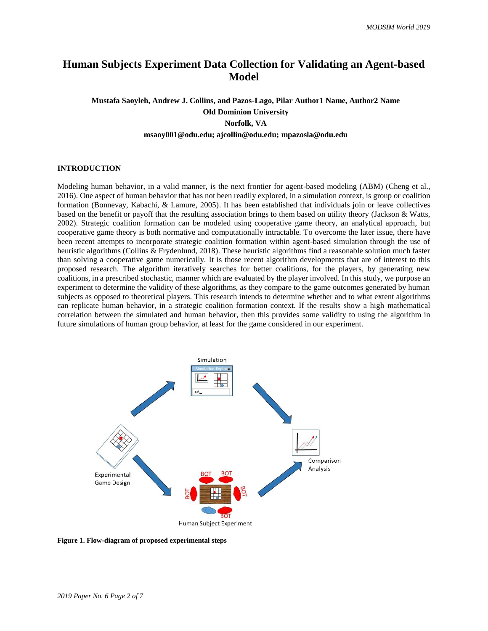# **Human Subjects Experiment Data Collection for Validating an Agent-based Model**

**Mustafa Saoyleh, Andrew J. Collins, and Pazos-Lago, Pilar Author1 Name, Author2 Name Old Dominion University Norfolk, VA msaoy001@odu.edu; ajcollin@odu.edu; mpazosla@odu.edu**

#### **INTRODUCTION**

Modeling human behavior, in a valid manner, is the next frontier for agent-based modeling (ABM) (Cheng et al., 2016). One aspect of human behavior that has not been readily explored, in a simulation context, is group or coalition formation (Bonnevay, Kabachi, & Lamure, 2005). It has been established that individuals join or leave collectives based on the benefit or payoff that the resulting association brings to them based on utility theory (Jackson & Watts, 2002). Strategic coalition formation can be modeled using cooperative game theory, an analytical approach, but cooperative game theory is both normative and computationally intractable. To overcome the later issue, there have been recent attempts to incorporate strategic coalition formation within agent-based simulation through the use of heuristic algorithms (Collins & Frydenlund, 2018). These heuristic algorithms find a reasonable solution much faster than solving a cooperative game numerically. It is those recent algorithm developments that are of interest to this proposed research. The algorithm iteratively searches for better coalitions, for the players, by generating new coalitions, in a prescribed stochastic, manner which are evaluated by the player involved. In this study, we purpose an experiment to determine the validity of these algorithms, as they compare to the game outcomes generated by human subjects as opposed to theoretical players. This research intends to determine whether and to what extent algorithms can replicate human behavior, in a strategic coalition formation context. If the results show a high mathematical correlation between the simulated and human behavior, then this provides some validity to using the algorithm in future simulations of human group behavior, at least for the game considered in our experiment.



**Figure 1. Flow-diagram of proposed experimental steps**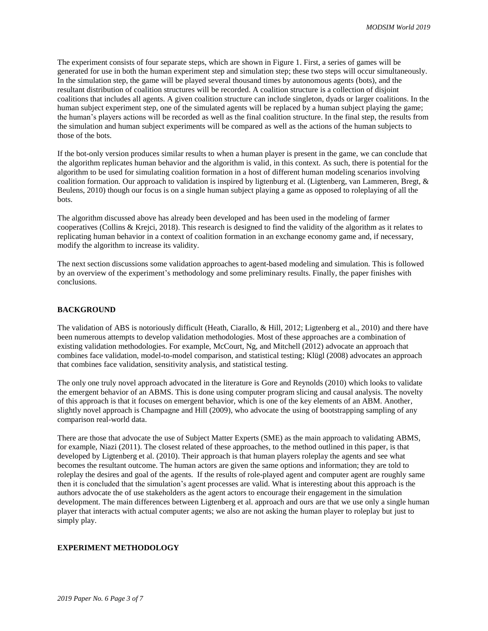The experiment consists of four separate steps, which are shown in Figure 1. First, a series of games will be generated for use in both the human experiment step and simulation step; these two steps will occur simultaneously. In the simulation step, the game will be played several thousand times by autonomous agents (bots), and the resultant distribution of coalition structures will be recorded. A coalition structure is a collection of disjoint coalitions that includes all agents. A given coalition structure can include singleton, dyads or larger coalitions. In the human subject experiment step, one of the simulated agents will be replaced by a human subject playing the game; the human's players actions will be recorded as well as the final coalition structure. In the final step, the results from the simulation and human subject experiments will be compared as well as the actions of the human subjects to those of the bots.

If the bot-only version produces similar results to when a human player is present in the game, we can conclude that the algorithm replicates human behavior and the algorithm is valid, in this context. As such, there is potential for the algorithm to be used for simulating coalition formation in a host of different human modeling scenarios involving coalition formation. Our approach to validation is inspired by ligtenburg et al. (Ligtenberg, van Lammeren, Bregt, & Beulens, 2010) though our focus is on a single human subject playing a game as opposed to roleplaying of all the bots.

The algorithm discussed above has already been developed and has been used in the modeling of farmer cooperatives (Collins & Krejci, 2018). This research is designed to find the validity of the algorithm as it relates to replicating human behavior in a context of coalition formation in an exchange economy game and, if necessary, modify the algorithm to increase its validity.

The next section discussions some validation approaches to agent-based modeling and simulation. This is followed by an overview of the experiment's methodology and some preliminary results. Finally, the paper finishes with conclusions.

#### **BACKGROUND**

The validation of ABS is notoriously difficult (Heath, Ciarallo, & Hill, 2012; Ligtenberg et al., 2010) and there have been numerous attempts to develop validation methodologies. Most of these approaches are a combination of existing validation methodologies. For example, McCourt, Ng, and Mitchell (2012) advocate an approach that combines face validation, model-to-model comparison, and statistical testing; Klügl (2008) advocates an approach that combines face validation, sensitivity analysis, and statistical testing.

The only one truly novel approach advocated in the literature is Gore and Reynolds (2010) which looks to validate the emergent behavior of an ABMS. This is done using computer program slicing and causal analysis. The novelty of this approach is that it focuses on emergent behavior, which is one of the key elements of an ABM. Another, slightly novel approach is Champagne and Hill (2009), who advocate the using of bootstrapping sampling of any comparison real-world data.

There are those that advocate the use of Subject Matter Experts (SME) as the main approach to validating ABMS, for example, Niazi (2011). The closest related of these approaches, to the method outlined in this paper, is that developed by Ligtenberg et al. (2010). Their approach is that human players roleplay the agents and see what becomes the resultant outcome. The human actors are given the same options and information; they are told to roleplay the desires and goal of the agents. If the results of role-played agent and computer agent are roughly same then it is concluded that the simulation's agent processes are valid. What is interesting about this approach is the authors advocate the of use stakeholders as the agent actors to encourage their engagement in the simulation development. The main differences between Ligtenberg et al. approach and ours are that we use only a single human player that interacts with actual computer agents; we also are not asking the human player to roleplay but just to simply play.

### **EXPERIMENT METHODOLOGY**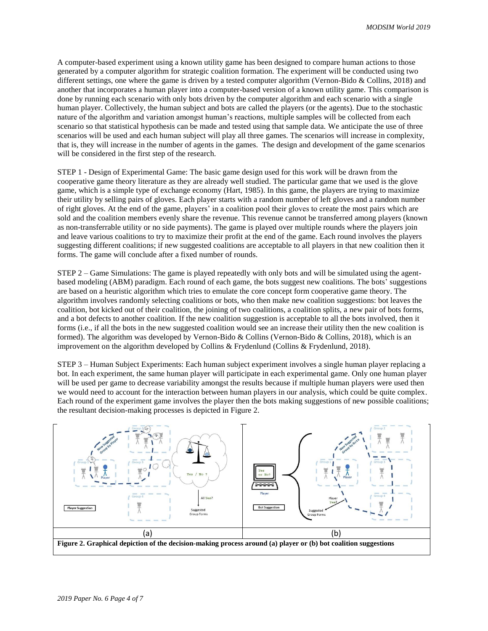A computer-based experiment using a known utility game has been designed to compare human actions to those generated by a computer algorithm for strategic coalition formation. The experiment will be conducted using two different settings, one where the game is driven by a tested computer algorithm (Vernon-Bido & Collins, 2018) and another that incorporates a human player into a computer-based version of a known utility game. This comparison is done by running each scenario with only bots driven by the computer algorithm and each scenario with a single human player. Collectively, the human subject and bots are called the players (or the agents). Due to the stochastic nature of the algorithm and variation amongst human's reactions, multiple samples will be collected from each scenario so that statistical hypothesis can be made and tested using that sample data. We anticipate the use of three scenarios will be used and each human subject will play all three games. The scenarios will increase in complexity, that is, they will increase in the number of agents in the games. The design and development of the game scenarios will be considered in the first step of the research.

STEP 1 - Design of Experimental Game: The basic game design used for this work will be drawn from the cooperative game theory literature as they are already well studied. The particular game that we used is the glove game, which is a simple type of exchange economy (Hart, 1985). In this game, the players are trying to maximize their utility by selling pairs of gloves. Each player starts with a random number of left gloves and a random number of right gloves. At the end of the game, players' in a coalition pool their gloves to create the most pairs which are sold and the coalition members evenly share the revenue. This revenue cannot be transferred among players (known as non-transferrable utility or no side payments). The game is played over multiple rounds where the players join and leave various coalitions to try to maximize their profit at the end of the game. Each round involves the players suggesting different coalitions; if new suggested coalitions are acceptable to all players in that new coalition then it forms. The game will conclude after a fixed number of rounds.

STEP 2 – Game Simulations: The game is played repeatedly with only bots and will be simulated using the agentbased modeling (ABM) paradigm. Each round of each game, the bots suggest new coalitions. The bots' suggestions are based on a heuristic algorithm which tries to emulate the core concept form cooperative game theory. The algorithm involves randomly selecting coalitions or bots, who then make new coalition suggestions: bot leaves the coalition, bot kicked out of their coalition, the joining of two coalitions, a coalition splits, a new pair of bots forms, and a bot defects to another coalition. If the new coalition suggestion is acceptable to all the bots involved, then it forms (i.e., if all the bots in the new suggested coalition would see an increase their utility then the new coalition is formed). The algorithm was developed by Vernon-Bido & Collins (Vernon-Bido & Collins, 2018), which is an improvement on the algorithm developed by Collins & Frydenlund (Collins & Frydenlund, 2018).

STEP 3 – Human Subject Experiments: Each human subject experiment involves a single human player replacing a bot. In each experiment, the same human player will participate in each experimental game. Only one human player will be used per game to decrease variability amongst the results because if multiple human players were used then we would need to account for the interaction between human players in our analysis, which could be quite complex. Each round of the experiment game involves the player then the bots making suggestions of new possible coalitions; the resultant decision-making processes is depicted i[n Figure 2.](#page-3-0)

<span id="page-3-0"></span>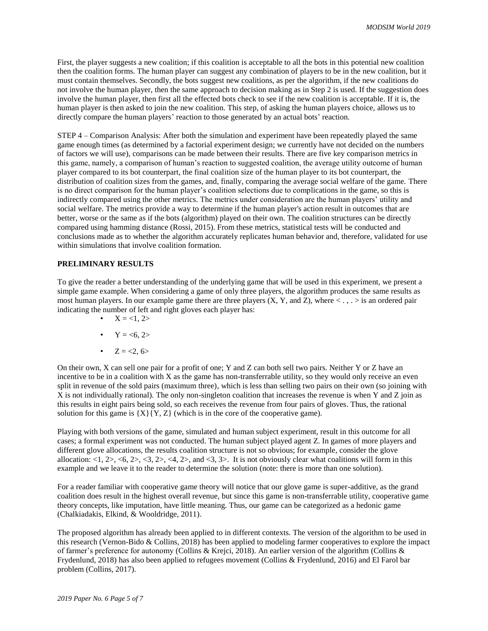First, the player suggests a new coalition; if this coalition is acceptable to all the bots in this potential new coalition then the coalition forms. The human player can suggest any combination of players to be in the new coalition, but it must contain themselves. Secondly, the bots suggest new coalitions, as per the algorithm, if the new coalitions do not involve the human player, then the same approach to decision making as in Step 2 is used. If the suggestion does involve the human player, then first all the effected bots check to see if the new coalition is acceptable. If it is, the human player is then asked to join the new coalition. This step, of asking the human players choice, allows us to directly compare the human players' reaction to those generated by an actual bots' reaction.

STEP 4 – Comparison Analysis: After both the simulation and experiment have been repeatedly played the same game enough times (as determined by a factorial experiment design; we currently have not decided on the numbers of factors we will use), comparisons can be made between their results. There are five key comparison metrics in this game, namely, a comparison of human's reaction to suggested coalition, the average utility outcome of human player compared to its bot counterpart, the final coalition size of the human player to its bot counterpart, the distribution of coalition sizes from the games, and, finally, comparing the average social welfare of the game. There is no direct comparison for the human player's coalition selections due to complications in the game, so this is indirectly compared using the other metrics. The metrics under consideration are the human players' utility and social welfare. The metrics provide a way to determine if the human player's action result in outcomes that are better, worse or the same as if the bots (algorithm) played on their own. The coalition structures can be directly compared using hamming distance (Rossi, 2015). From these metrics, statistical tests will be conducted and conclusions made as to whether the algorithm accurately replicates human behavior and, therefore, validated for use within simulations that involve coalition formation.

### **PRELIMINARY RESULTS**

To give the reader a better understanding of the underlying game that will be used in this experiment, we present a simple game example. When considering a game of only three players, the algorithm produces the same results as most human players. In our example game there are three players  $(X, Y, and Z)$ , where  $\langle \cdot, \cdot \rangle$  is an ordered pair indicating the number of left and right gloves each player has:

- $X = 1, 2>$
- $Y = 6, 2>$
- $Z = 2, 6>$

On their own, X can sell one pair for a profit of one; Y and Z can both sell two pairs. Neither Y or Z have an incentive to be in a coalition with X as the game has non-transferrable utility, so they would only receive an even split in revenue of the sold pairs (maximum three), which is less than selling two pairs on their own (so joining with  $\overline{X}$  is not individually rational). The only non-singleton coalition that increases the revenue is when Y and Z join as this results in eight pairs being sold, so each receives the revenue from four pairs of gloves. Thus, the rational solution for this game is  ${X}{Y,Z}$  (which is in the core of the cooperative game).

Playing with both versions of the game, simulated and human subject experiment, result in this outcome for all cases; a formal experiment was not conducted. The human subject played agent Z. In games of more players and different glove allocations, the results coalition structure is not so obvious; for example, consider the glove allocation:  $\langle 1, 2 \rangle$ ,  $\langle 6, 2 \rangle$ ,  $\langle 3, 2 \rangle$ ,  $\langle 4, 2 \rangle$ , and  $\langle 3, 3 \rangle$ . It is not obviously clear what coalitions will form in this example and we leave it to the reader to determine the solution (note: there is more than one solution).

For a reader familiar with cooperative game theory will notice that our glove game is super-additive, as the grand coalition does result in the highest overall revenue, but since this game is non-transferrable utility, cooperative game theory concepts, like imputation, have little meaning. Thus, our game can be categorized as a hedonic game (Chalkiadakis, Elkind, & Wooldridge, 2011).

The proposed algorithm has already been applied to in different contexts. The version of the algorithm to be used in this research (Vernon-Bido & Collins, 2018) has been applied to modeling farmer cooperatives to explore the impact of farmer's preference for autonomy (Collins & Krejci, 2018). An earlier version of the algorithm (Collins & Frydenlund, 2018) has also been applied to refugees movement (Collins & Frydenlund, 2016) and El Farol bar problem (Collins, 2017).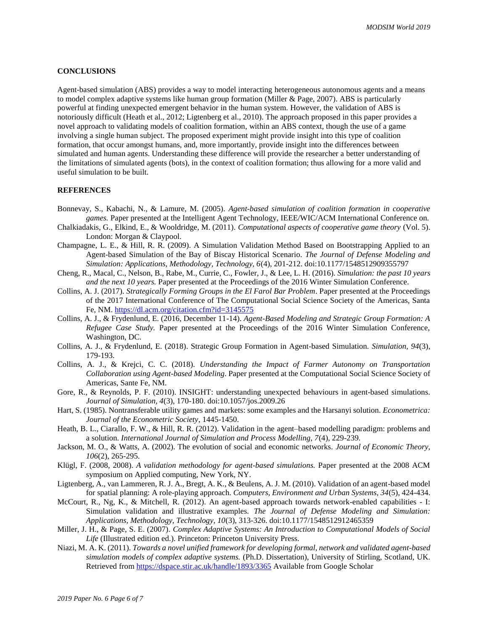#### **CONCLUSIONS**

Agent-based simulation (ABS) provides a way to model interacting heterogeneous autonomous agents and a means to model complex adaptive systems like human group formation (Miller & Page, 2007). ABS is particularly powerful at finding unexpected emergent behavior in the human system. However, the validation of ABS is notoriously difficult (Heath et al., 2012; Ligtenberg et al., 2010). The approach proposed in this paper provides a novel approach to validating models of coalition formation, within an ABS context, though the use of a game involving a single human subject. The proposed experiment might provide insight into this type of coalition formation, that occur amongst humans, and, more importantly, provide insight into the differences between simulated and human agents. Understanding these difference will provide the researcher a better understanding of the limitations of simulated agents (bots), in the context of coalition formation; thus allowing for a more valid and useful simulation to be built.

#### **REFERENCES**

- Bonnevay, S., Kabachi, N., & Lamure, M. (2005). *Agent-based simulation of coalition formation in cooperative games.* Paper presented at the Intelligent Agent Technology, IEEE/WIC/ACM International Conference on.
- Chalkiadakis, G., Elkind, E., & Wooldridge, M. (2011). *Computational aspects of cooperative game theory* (Vol. 5). London: Morgan & Claypool.
- Champagne, L. E., & Hill, R. R. (2009). A Simulation Validation Method Based on Bootstrapping Applied to an Agent-based Simulation of the Bay of Biscay Historical Scenario. *The Journal of Defense Modeling and Simulation: Applications, Methodology, Technology, 6*(4), 201-212. doi:10.1177/1548512909355797
- Cheng, R., Macal, C., Nelson, B., Rabe, M., Currie, C., Fowler, J., & Lee, L. H. (2016). *Simulation: the past 10 years and the next 10 years.* Paper presented at the Proceedings of the 2016 Winter Simulation Conference.
- Collins, A. J. (2017). *Strategically Forming Groups in the El Farol Bar Problem*. Paper presented at the Proceedings of the 2017 International Conference of The Computational Social Science Society of the Americas, Santa Fe, NM.<https://dl.acm.org/citation.cfm?id=3145575>
- Collins, A. J., & Frydenlund, E. (2016, December 11-14). *Agent-Based Modeling and Strategic Group Formation: A Refugee Case Study.* Paper presented at the Proceedings of the 2016 Winter Simulation Conference, Washington, DC.
- Collins, A. J., & Frydenlund, E. (2018). Strategic Group Formation in Agent-based Simulation. *Simulation, 94*(3), 179-193.
- Collins, A. J., & Krejci, C. C. (2018). *Understanding the Impact of Farmer Autonomy on Transportation Collaboration using Agent-based Modeling*. Paper presented at the Computational Social Science Society of Americas, Sante Fe, NM.
- Gore, R., & Reynolds, P. F. (2010). INSIGHT: understanding unexpected behaviours in agent-based simulations. *Journal of Simulation, 4*(3), 170-180. doi:10.1057/jos.2009.26
- Hart, S. (1985). Nontransferable utility games and markets: some examples and the Harsanyi solution. *Econometrica: Journal of the Econometric Society*, 1445-1450.
- Heath, B. L., Ciarallo, F. W., & Hill, R. R. (2012). Validation in the agent–based modelling paradigm: problems and a solution. *International Journal of Simulation and Process Modelling, 7*(4), 229-239.
- Jackson, M. O., & Watts, A. (2002). The evolution of social and economic networks. *Journal of Economic Theory, 106*(2), 265-295.
- Klügl, F. (2008, 2008). *A validation methodology for agent-based simulations.* Paper presented at the 2008 ACM symposium on Applied computing, New York, NY.
- Ligtenberg, A., van Lammeren, R. J. A., Bregt, A. K., & Beulens, A. J. M. (2010). Validation of an agent-based model for spatial planning: A role-playing approach. *Computers, Environment and Urban Systems, 34*(5), 424-434.
- McCourt, R., Ng, K., & Mitchell, R. (2012). An agent-based approach towards network-enabled capabilities I: Simulation validation and illustrative examples. *The Journal of Defense Modeling and Simulation: Applications, Methodology, Technology, 10*(3), 313-326. doi:10.1177/1548512912465359
- Miller, J. H., & Page, S. E. (2007). *Complex Adaptive Systems: An Introduction to Computational Models of Social Life* (Illustrated edition ed.). Princeton: Princeton University Press.
- Niazi, M. A. K. (2011). *Towards a novel unified framework for developing formal, network and validated agent-based simulation models of complex adaptive systems.* (Ph.D. Dissertation), University of Stirling, Scotland, UK. Retrieved from<https://dspace.stir.ac.uk/handle/1893/3365> Available from Google Scholar